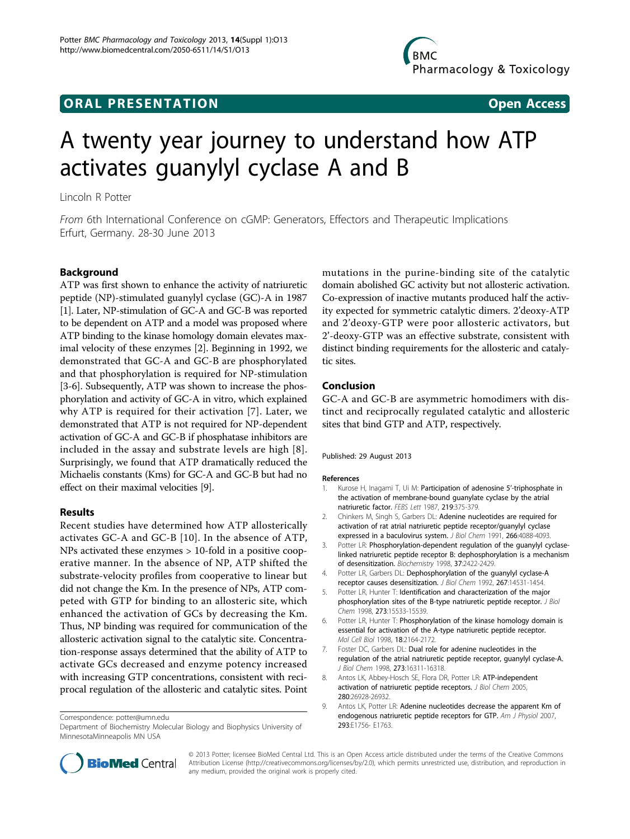## **ORAL PRESENTATION OPEN ACCESS**

# A twenty year journey to understand how ATP activates guanylyl cyclase A and B

Lincoln R Potter

From 6th International Conference on cGMP: Generators, Effectors and Therapeutic Implications Erfurt, Germany. 28-30 June 2013

### Background

ATP was first shown to enhance the activity of natriuretic peptide (NP)-stimulated guanylyl cyclase (GC)-A in 1987 [1]. Later, NP-stimulation of GC-A and GC-B was reported to be dependent on ATP and a model was proposed where ATP binding to the kinase homology domain elevates maximal velocity of these enzymes [2]. Beginning in 1992, we demonstrated that GC-A and GC-B are phosphorylated and that phosphorylation is required for NP-stimulation [3-6]. Subsequently, ATP was shown to increase the phosphorylation and activity of GC-A in vitro, which explained why ATP is required for their activation [7]. Later, we demonstrated that ATP is not required for NP-dependent activation of GC-A and GC-B if phosphatase inhibitors are included in the assay and substrate levels are high [8]. Surprisingly, we found that ATP dramatically reduced the Michaelis constants (Kms) for GC-A and GC-B but had no effect on their maximal velocities [9].

#### Results

Recent studies have determined how ATP allosterically activates GC-A and GC-B [[10\]](#page-1-0). In the absence of ATP, NPs activated these enzymes > 10-fold in a positive cooperative manner. In the absence of NP, ATP shifted the substrate-velocity profiles from cooperative to linear but did not change the Km. In the presence of NPs, ATP competed with GTP for binding to an allosteric site, which enhanced the activation of GCs by decreasing the Km. Thus, NP binding was required for communication of the allosteric activation signal to the catalytic site. Concentration-response assays determined that the ability of ATP to activate GCs decreased and enzyme potency increased with increasing GTP concentrations, consistent with reciprocal regulation of the allosteric and catalytic sites. Point

Correspondence: [potter@umn.edu](mailto:potter@umn.edu)

mutations in the purine-binding site of the catalytic domain abolished GC activity but not allosteric activation. Co-expression of inactive mutants produced half the activity expected for symmetric catalytic dimers. 2'deoxy-ATP and 2'deoxy-GTP were poor allosteric activators, but 2'-deoxy-GTP was an effective substrate, consistent with distinct binding requirements for the allosteric and catalytic sites.

#### Conclusion

GC-A and GC-B are asymmetric homodimers with distinct and reciprocally regulated catalytic and allosteric sites that bind GTP and ATP, respectively.

#### Published: 29 August 2013

#### References

- 1. Kurose H, Inagami T, Ui M: [Participation of adenosine 5](http://www.ncbi.nlm.nih.gov/pubmed/2886366?dopt=Abstract)'-triphosphate in [the activation of membrane-bound guanylate cyclase by the atrial](http://www.ncbi.nlm.nih.gov/pubmed/2886366?dopt=Abstract) [natriuretic factor.](http://www.ncbi.nlm.nih.gov/pubmed/2886366?dopt=Abstract) FFBS Lett 1987, 219:375-379.
- 2. Chinkers M, Singh S, Garbers DL: [Adenine nucleotides are required for](http://www.ncbi.nlm.nih.gov/pubmed/1671858?dopt=Abstract) [activation of rat atrial natriuretic peptide receptor/guanylyl cyclase](http://www.ncbi.nlm.nih.gov/pubmed/1671858?dopt=Abstract) [expressed in a baculovirus system.](http://www.ncbi.nlm.nih.gov/pubmed/1671858?dopt=Abstract) J Biol Chem 1991, 266:4088-4093.
- 3. Potter LR: [Phosphorylation-dependent regulation of the guanylyl cyclase](http://www.ncbi.nlm.nih.gov/pubmed/9485390?dopt=Abstract)[linked natriuretic peptide receptor B: dephosphorylation is a mechanism](http://www.ncbi.nlm.nih.gov/pubmed/9485390?dopt=Abstract) [of desensitization.](http://www.ncbi.nlm.nih.gov/pubmed/9485390?dopt=Abstract) Biochemistry 1998, 37:2422-2429.
- 4. Potter LR, Garbers DL: [Dephosphorylation of the guanylyl cyclase-A](http://www.ncbi.nlm.nih.gov/pubmed/1353076?dopt=Abstract) [receptor causes desensitization.](http://www.ncbi.nlm.nih.gov/pubmed/1353076?dopt=Abstract) J Biol Chem 1992, 267:14531-1454.
- 5. Potter LR, Hunter T: [Identification and characterization of the major](http://www.ncbi.nlm.nih.gov/pubmed/9624142?dopt=Abstract) [phosphorylation sites of the B-type natriuretic peptide receptor.](http://www.ncbi.nlm.nih.gov/pubmed/9624142?dopt=Abstract) J Biol Chem 1998, 273:15533-15539.
- 6. Potter LR, Hunter T: [Phosphorylation of the kinase homology domain is](http://www.ncbi.nlm.nih.gov/pubmed/9528788?dopt=Abstract) [essential for activation of the A-type natriuretic peptide receptor.](http://www.ncbi.nlm.nih.gov/pubmed/9528788?dopt=Abstract) Mol Cell Biol 1998, 18:2164-2172.
- 7. Foster DC, Garbers DL: [Dual role for adenine nucleotides in the](http://www.ncbi.nlm.nih.gov/pubmed/9632692?dopt=Abstract) [regulation of the atrial natriuretic peptide receptor, guanylyl cyclase-A.](http://www.ncbi.nlm.nih.gov/pubmed/9632692?dopt=Abstract) J Biol Chem 1998, 273:16311-16318.
- 8. Antos LK, Abbey-Hosch SE, Flora DR, Potter LR: [ATP-independent](http://www.ncbi.nlm.nih.gov/pubmed/15911610?dopt=Abstract) [activation of natriuretic peptide receptors.](http://www.ncbi.nlm.nih.gov/pubmed/15911610?dopt=Abstract) J Biol Chem 2005, 280:26928-26932.
- 9. Antos LK, Potter LR: Adenine nucleotides decrease the apparent Km of endogenous natriuretic peptide receptors for GTP. Am J Physiol 2007, 293:E1756- E1763.



© 2013 Potter; licensee BioMed Central Ltd. This is an Open Access article distributed under the terms of the Creative Commons Attribution License [\(http://creativecommons.org/licenses/by/2.0](http://creativecommons.org/licenses/by/2.0)), which permits unrestricted use, distribution, and reproduction in any medium, provided the original work is properly cited.

Department of Biochemistry Molecular Biology and Biophysics University of MinnesotaMinneapolis MN USA